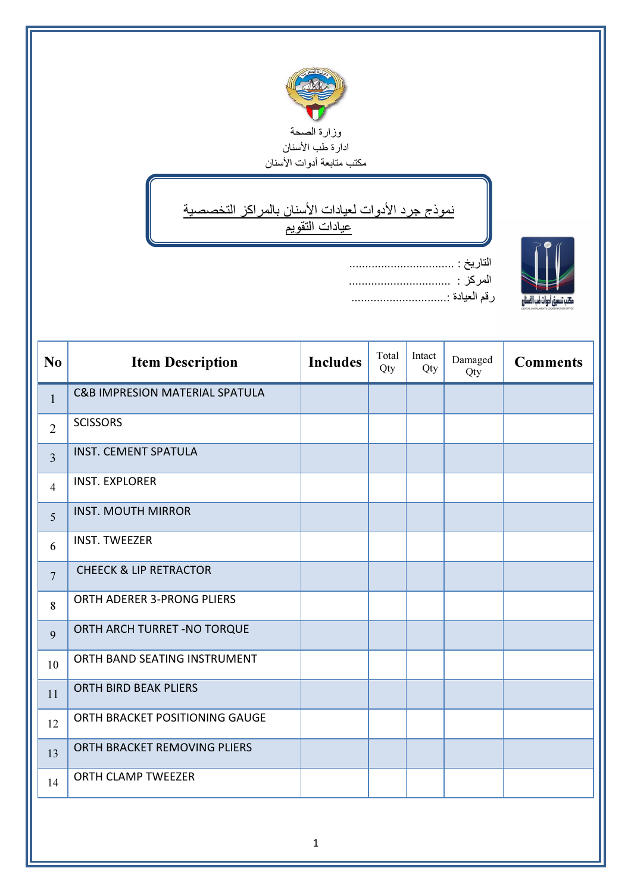

## ↘ نموذج جرد الأدوات لعيادات الأسنان بالمراكز التخصصية عيادات التقويم

ī

IN.

| رقم العيادة : |
|---------------|

| N <sub>o</sub> | <b>Item Description</b>                   | <b>Includes</b> | Total<br>Qty | Intact<br>Qty | Damaged<br>Qty | <b>Comments</b> |
|----------------|-------------------------------------------|-----------------|--------------|---------------|----------------|-----------------|
| $\mathbf{1}$   | <b>C&amp;B IMPRESION MATERIAL SPATULA</b> |                 |              |               |                |                 |
| $\overline{2}$ | <b>SCISSORS</b>                           |                 |              |               |                |                 |
| $\overline{3}$ | <b>INST. CEMENT SPATULA</b>               |                 |              |               |                |                 |
| $\overline{4}$ | <b>INST. EXPLORER</b>                     |                 |              |               |                |                 |
| 5              | <b>INST. MOUTH MIRROR</b>                 |                 |              |               |                |                 |
| 6              | <b>INST. TWEEZER</b>                      |                 |              |               |                |                 |
| $\overline{7}$ | <b>CHEECK &amp; LIP RETRACTOR</b>         |                 |              |               |                |                 |
| 8              | <b>ORTH ADERER 3-PRONG PLIERS</b>         |                 |              |               |                |                 |
| 9              | ORTH ARCH TURRET - NO TORQUE              |                 |              |               |                |                 |
| 10             | ORTH BAND SEATING INSTRUMENT              |                 |              |               |                |                 |
| 11             | <b>ORTH BIRD BEAK PLIERS</b>              |                 |              |               |                |                 |
| 12             | ORTH BRACKET POSITIONING GAUGE            |                 |              |               |                |                 |
| 13             | ORTH BRACKET REMOVING PLIERS              |                 |              |               |                |                 |
| 14             | ORTH CLAMP TWEEZER                        |                 |              |               |                |                 |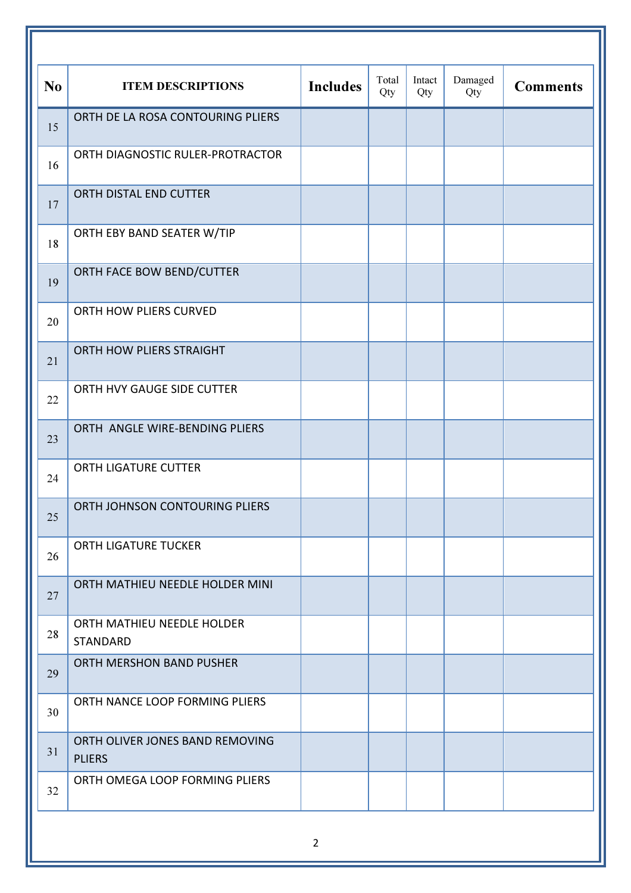| N <sub>o</sub> | <b>ITEM DESCRIPTIONS</b>                         | <b>Includes</b> | Total<br>Qty | Intact<br>Qty | Damaged<br>Qty | <b>Comments</b> |
|----------------|--------------------------------------------------|-----------------|--------------|---------------|----------------|-----------------|
| 15             | ORTH DE LA ROSA CONTOURING PLIERS                |                 |              |               |                |                 |
| 16             | ORTH DIAGNOSTIC RULER-PROTRACTOR                 |                 |              |               |                |                 |
| 17             | ORTH DISTAL END CUTTER                           |                 |              |               |                |                 |
| 18             | ORTH EBY BAND SEATER W/TIP                       |                 |              |               |                |                 |
| 19             | ORTH FACE BOW BEND/CUTTER                        |                 |              |               |                |                 |
| 20             | ORTH HOW PLIERS CURVED                           |                 |              |               |                |                 |
| 21             | ORTH HOW PLIERS STRAIGHT                         |                 |              |               |                |                 |
| 22             | ORTH HVY GAUGE SIDE CUTTER                       |                 |              |               |                |                 |
| 23             | ORTH ANGLE WIRE-BENDING PLIERS                   |                 |              |               |                |                 |
| 24             | <b>ORTH LIGATURE CUTTER</b>                      |                 |              |               |                |                 |
| 25             | ORTH JOHNSON CONTOURING PLIERS                   |                 |              |               |                |                 |
| 26             | <b>ORTH LIGATURE TUCKER</b>                      |                 |              |               |                |                 |
| 27             | ORTH MATHIEU NEEDLE HOLDER MINI                  |                 |              |               |                |                 |
| 28             | ORTH MATHIEU NEEDLE HOLDER<br><b>STANDARD</b>    |                 |              |               |                |                 |
| 29             | ORTH MERSHON BAND PUSHER                         |                 |              |               |                |                 |
| 30             | ORTH NANCE LOOP FORMING PLIERS                   |                 |              |               |                |                 |
| 31             | ORTH OLIVER JONES BAND REMOVING<br><b>PLIERS</b> |                 |              |               |                |                 |
| 32             | ORTH OMEGA LOOP FORMING PLIERS                   |                 |              |               |                |                 |
|                |                                                  |                 |              |               |                |                 |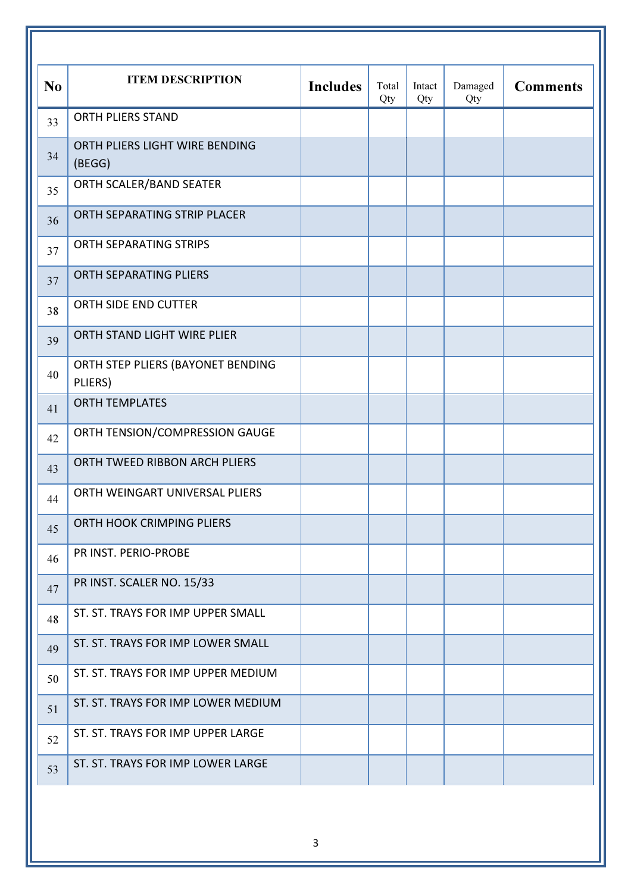| N <sub>o</sub> | <b>ITEM DESCRIPTION</b>                      | <b>Includes</b> | Total<br>Qty | Intact<br>Qty | Damaged<br>Qty | <b>Comments</b> |
|----------------|----------------------------------------------|-----------------|--------------|---------------|----------------|-----------------|
| 33             | <b>ORTH PLIERS STAND</b>                     |                 |              |               |                |                 |
| 34             | ORTH PLIERS LIGHT WIRE BENDING<br>(BEGG)     |                 |              |               |                |                 |
| 35             | ORTH SCALER/BAND SEATER                      |                 |              |               |                |                 |
| 36             | ORTH SEPARATING STRIP PLACER                 |                 |              |               |                |                 |
| 37             | ORTH SEPARATING STRIPS                       |                 |              |               |                |                 |
| 37             | ORTH SEPARATING PLIERS                       |                 |              |               |                |                 |
| 38             | ORTH SIDE END CUTTER                         |                 |              |               |                |                 |
| 39             | ORTH STAND LIGHT WIRE PLIER                  |                 |              |               |                |                 |
| 40             | ORTH STEP PLIERS (BAYONET BENDING<br>PLIERS) |                 |              |               |                |                 |
| 41             | <b>ORTH TEMPLATES</b>                        |                 |              |               |                |                 |
| 42             | ORTH TENSION/COMPRESSION GAUGE               |                 |              |               |                |                 |
| 43             | ORTH TWEED RIBBON ARCH PLIERS                |                 |              |               |                |                 |
| 44             | ORTH WEINGART UNIVERSAL PLIERS               |                 |              |               |                |                 |
| 45             | ORTH HOOK CRIMPING PLIERS                    |                 |              |               |                |                 |
| 46             | PR INST. PERIO-PROBE                         |                 |              |               |                |                 |
| 47             | PR INST. SCALER NO. 15/33                    |                 |              |               |                |                 |
| 48             | ST. ST. TRAYS FOR IMP UPPER SMALL            |                 |              |               |                |                 |
| 49             | ST. ST. TRAYS FOR IMP LOWER SMALL            |                 |              |               |                |                 |
| 50             | ST. ST. TRAYS FOR IMP UPPER MEDIUM           |                 |              |               |                |                 |
| 51             | ST. ST. TRAYS FOR IMP LOWER MEDIUM           |                 |              |               |                |                 |
| 52             | ST. ST. TRAYS FOR IMP UPPER LARGE            |                 |              |               |                |                 |
| 53             | ST. ST. TRAYS FOR IMP LOWER LARGE            |                 |              |               |                |                 |